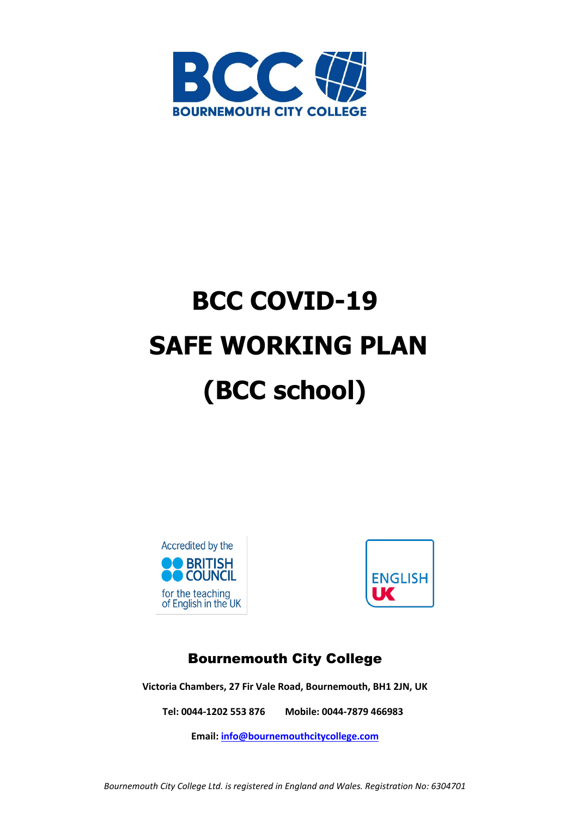

# **BCC COVID-19 SAFE WORKING PLAN (BCC school)**





# Bournemouth City College

**Victoria Chambers, 27 Fir Vale Road, Bournemouth, BH1 2JN, UK**

**Tel: 0044-1202 553 876 Mobile: 0044-7879 466983**

**Email[: info@bournemouthcitycollege.com](mailto:info@bournemouthcitycollege.com)**

*Bournemouth City College Ltd. is registered in England and Wales. Registration No: 6304701*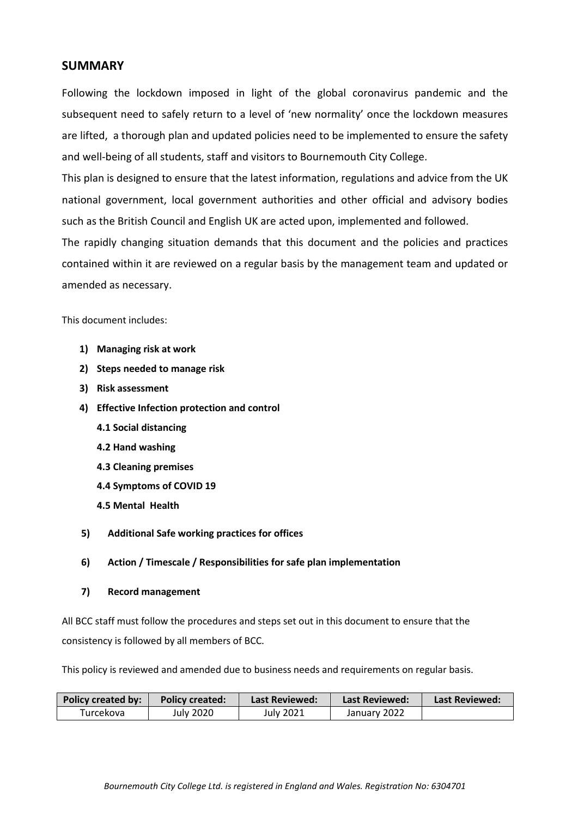#### **SUMMARY**

Following the lockdown imposed in light of the global coronavirus pandemic and the subsequent need to safely return to a level of 'new normality' once the lockdown measures are lifted, a thorough plan and updated policies need to be implemented to ensure the safety and well-being of all students, staff and visitors to Bournemouth City College.

This plan is designed to ensure that the latest information, regulations and advice from the UK national government, local government authorities and other official and advisory bodies such as the British Council and English UK are acted upon, implemented and followed.

The rapidly changing situation demands that this document and the policies and practices contained within it are reviewed on a regular basis by the management team and updated or amended as necessary.

This document includes:

- **1) Managing risk at work**
- **2) Steps needed to manage risk**
- **3) Risk assessment**
- **4) Effective Infection protection and control**
	- **4.1 Social distancing**
	- **4.2 Hand washing**
	- **4.3 Cleaning premises**
	- **4.4 Symptoms of COVID 19**
	- **4.5 Mental Health**
- **5) Additional Safe working practices for offices**
- **6) Action / Timescale / Responsibilities for safe plan implementation**
- **7) Record management**

All BCC staff must follow the procedures and steps set out in this document to ensure that the consistency is followed by all members of BCC.

This policy is reviewed and amended due to business needs and requirements on regular basis.

| Policy created by: | <b>Policy created:</b> | <b>Last Reviewed:</b> | <b>Last Reviewed:</b> | Last Reviewed: |
|--------------------|------------------------|-----------------------|-----------------------|----------------|
| Turcekova          | July 2020              | July 2021             | January 2022          |                |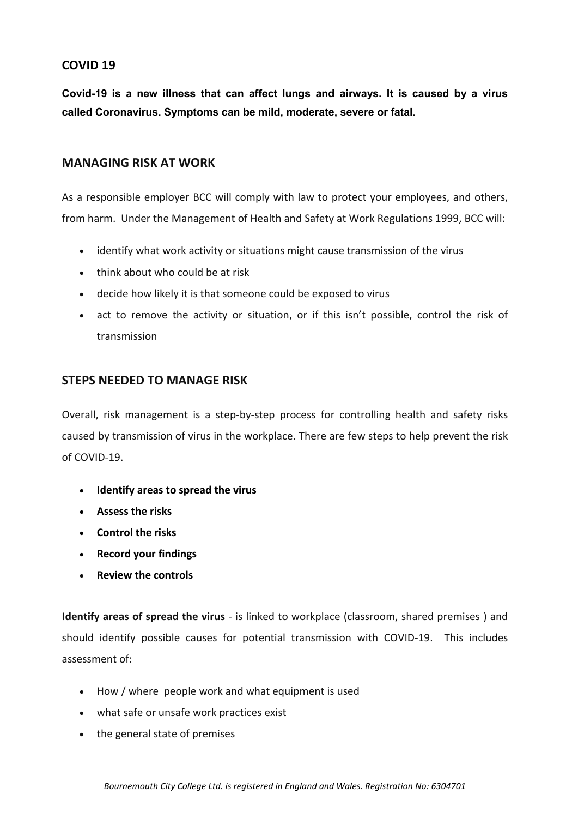# **COVID 19**

**Covid-19 is a new illness that can affect lungs and airways. It is caused by a virus called Coronavirus. Symptoms can be mild, moderate, severe or fatal.**

# **MANAGING RISK AT WORK**

As a responsible employer BCC will comply with law to protect your employees, and others, from harm. Under the Management of Health and Safety at Work Regulations 1999, BCC will:

- identify what work activity or situations might cause transmission of the virus
- think about who could be at risk
- decide how likely it is that someone could be exposed to virus
- act to remove the activity or situation, or if this isn't possible, control the risk of transmission

# **STEPS NEEDED TO MANAGE RISK**

Overall, risk management is a step-by-step process for controlling health and safety risks caused by transmission of virus in the workplace. There are few steps to help prevent the risk of COVID-19.

- **[Identify](https://www.hse.gov.uk/simple-health-safety/risk/steps-needed-to-manage-risk.htm#_Identify_hazards) areas to spread the virus**
- **[Assess](https://www.hse.gov.uk/simple-health-safety/risk/steps-needed-to-manage-risk.htm#_Assess_the_risks) the risks**
- **[Control](https://www.hse.gov.uk/simple-health-safety/risk/steps-needed-to-manage-risk.htm#_Control_the_risks) the risks**
- **Record your [findings](https://www.hse.gov.uk/simple-health-safety/risk/steps-needed-to-manage-risk.htm#_Record_your_findings)**
- **Review the [controls](https://www.hse.gov.uk/simple-health-safety/risk/steps-needed-to-manage-risk.htm#_Review)**

**Identify areas of spread the virus** - is linked to workplace (classroom, shared premises ) and should identify possible causes for potential transmission with COVID-19. This includes assessment of:

- How / where people work and what equipment is used
- what safe or unsafe work practices exist
- the general state of premises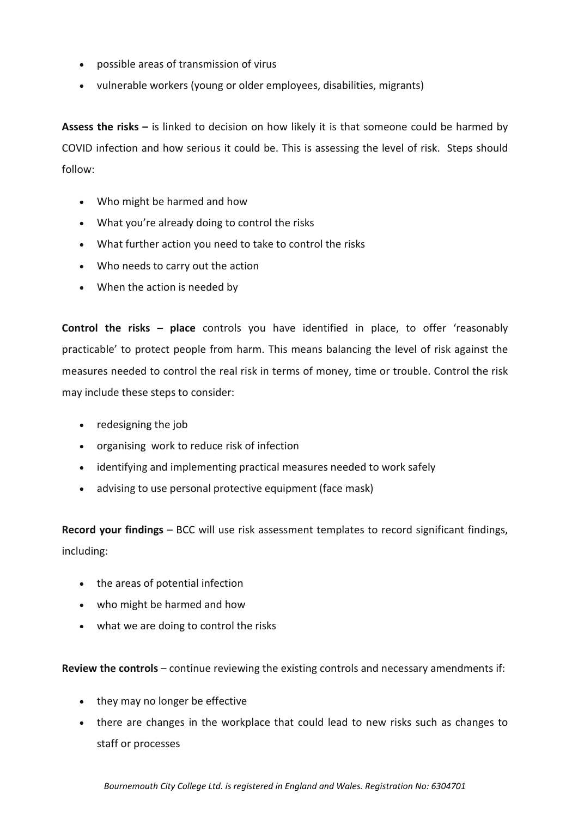- possible areas of transmission of virus
- vulnerable workers (young or older employees, disabilities, migrants)

**Assess the risks –** is linked to decision on how likely it is that someone could be harmed by COVID infection and how serious it could be. This is assessing the level of risk.Steps should follow:

- Who might be harmed and how
- What you're already doing to control the risks
- What further action you need to take to control the risks
- Who needs to carry out the action
- When the action is needed by

**Control the risks – place** controls you have identified in place, to offer 'reasonably practicable' to protect people from harm. This means balancing the level of risk against the measures needed to control the real risk in terms of money, time or trouble. Control the risk may include these steps to consider:

- redesigning the job
- organising work to reduce risk of infection
- identifying and implementing practical measures needed to work safely
- advising to use personal protective equipment (face mask)

**Record your findings** – BCC will use risk assessment templates to record significant findings, including:

- the areas of potential infection
- who might be harmed and how
- what we are doing to control the risks

**Review the controls** – continue reviewing the existing controls and necessary amendments if:

- they may no longer be effective
- there are changes in the workplace that could lead to new risks such as changes to staff or processes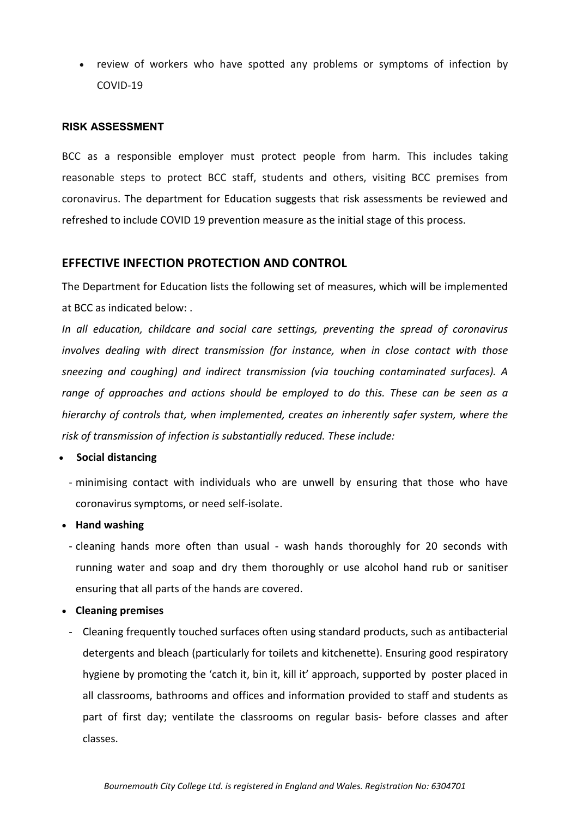review of workers who have spotted any problems or symptoms of infection by COVID-19

#### **RISK ASSESSMENT**

BCC as a responsible employer must protect people from harm. This includes taking reasonable steps to protect BCC staff, students and others, visiting BCC premises from coronavirus. The department for Education suggests that risk assessments be reviewed and refreshed to include COVID 19 prevention measure as the initial stage of this process.

#### **EFFECTIVE INFECTION PROTECTION AND CONTROL**

The Department for Education lists the following set of measures, which will be implemented at BCC as indicated below: .

*In all education, childcare and social care settings, preventing the spread of coronavirus involves dealing with direct transmission (for instance, when in close contact with those sneezing and coughing) and indirect transmission (via touching contaminated surfaces). A range of approaches and actions should be employed to do this. These can be seen as a hierarchy of controls that, when implemented, creates an inherently safer system, where the risk of transmission of infection is substantially reduced. These include:*

#### • **Social distancing**

- minimising contact with individuals who are unwell by ensuring that those who have coronavirus symptoms, or need self-isolate.

#### • **Hand washing**

- cleaning hands more often than usual wash hands thoroughly for 20 seconds with running water and soap and dry them thoroughly or use alcohol hand rub or sanitiser ensuring that all parts of the hands are covered.
- **Cleaning premises**
- Cleaning frequently touched surfaces often using standard products, such as antibacterial detergents and bleach (particularly for toilets and kitchenette). Ensuring good respiratory hygiene by promoting the 'catch it, bin it, kill it' approach, supported by poster placed in all classrooms, bathrooms and offices and information provided to staff and students as part of first day; ventilate the classrooms on regular basis- before classes and after classes.